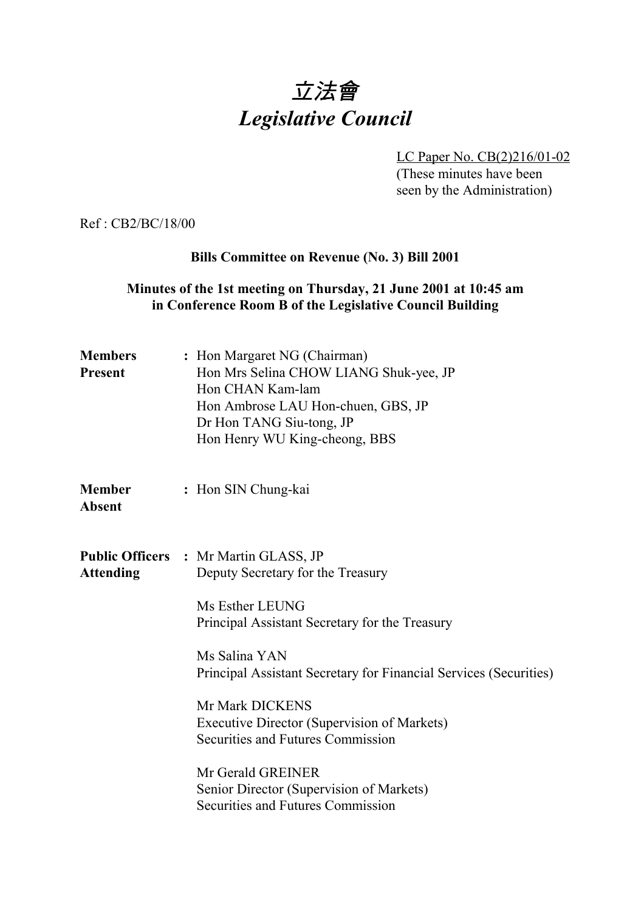# 立法會 *Legislative Council*

LC Paper No. CB(2)216/01-02 (These minutes have been seen by the Administration)

Ref : CB2/BC/18/00

#### **Bills Committee on Revenue (No. 3) Bill 2001**

#### **Minutes of the 1st meeting on Thursday, 21 June 2001 at 10:45 am in Conference Room B of the Legislative Council Building**

| <b>Members</b><br><b>Present</b> | : Hon Margaret NG (Chairman)<br>Hon Mrs Selina CHOW LIANG Shuk-yee, JP<br>Hon CHAN Kam-lam<br>Hon Ambrose LAU Hon-chuen, GBS, JP<br>Dr Hon TANG Siu-tong, JP<br>Hon Henry WU King-cheong, BBS                                                                                                                                                                            |
|----------------------------------|--------------------------------------------------------------------------------------------------------------------------------------------------------------------------------------------------------------------------------------------------------------------------------------------------------------------------------------------------------------------------|
| <b>Member</b><br><b>Absent</b>   | : Hon SIN Chung-kai                                                                                                                                                                                                                                                                                                                                                      |
| <b>Attending</b>                 | <b>Public Officers : Mr Martin GLASS, JP</b><br>Deputy Secretary for the Treasury<br>Ms Esther LEUNG<br>Principal Assistant Secretary for the Treasury<br>Ms Salina YAN<br>Principal Assistant Secretary for Financial Services (Securities)<br>Mr Mark DICKENS<br>Executive Director (Supervision of Markets)<br>Securities and Futures Commission<br>Mr Gerald GREINER |
|                                  | Senior Director (Supervision of Markets)<br>Securities and Futures Commission                                                                                                                                                                                                                                                                                            |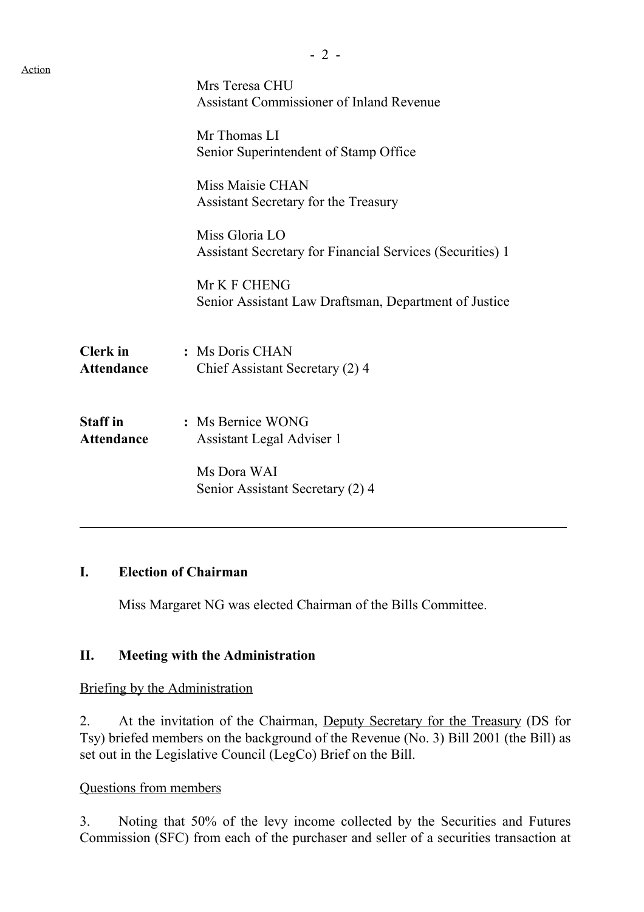| Action |                                      |                                                                                    |
|--------|--------------------------------------|------------------------------------------------------------------------------------|
|        |                                      | Mrs Teresa CHU<br><b>Assistant Commissioner of Inland Revenue</b>                  |
|        |                                      | Mr Thomas LI<br>Senior Superintendent of Stamp Office                              |
|        |                                      | Miss Maisie CHAN<br>Assistant Secretary for the Treasury                           |
|        |                                      | Miss Gloria LO<br><b>Assistant Secretary for Financial Services (Securities) 1</b> |
|        |                                      | Mr K F CHENG<br>Senior Assistant Law Draftsman, Department of Justice              |
|        | <b>Clerk</b> in<br><b>Attendance</b> | : Ms Doris CHAN<br>Chief Assistant Secretary (2) 4                                 |
|        | <b>Staff</b> in<br><b>Attendance</b> | : Ms Bernice WONG<br>Assistant Legal Adviser 1                                     |
|        |                                      | Ms Dora WAI<br>Senior Assistant Secretary (2) 4                                    |
|        |                                      |                                                                                    |

### **I. Election of Chairman**

 $\overline{a}$ 

Miss Margaret NG was elected Chairman of the Bills Committee.

# **II. Meeting with the Administration**

Briefing by the Administration

2. At the invitation of the Chairman, Deputy Secretary for the Treasury (DS for Tsy) briefed members on the background of the Revenue (No. 3) Bill 2001 (the Bill) as set out in the Legislative Council (LegCo) Brief on the Bill.

# Questions from members

3. Noting that 50% of the levy income collected by the Securities and Futures Commission (SFC) from each of the purchaser and seller of a securities transaction at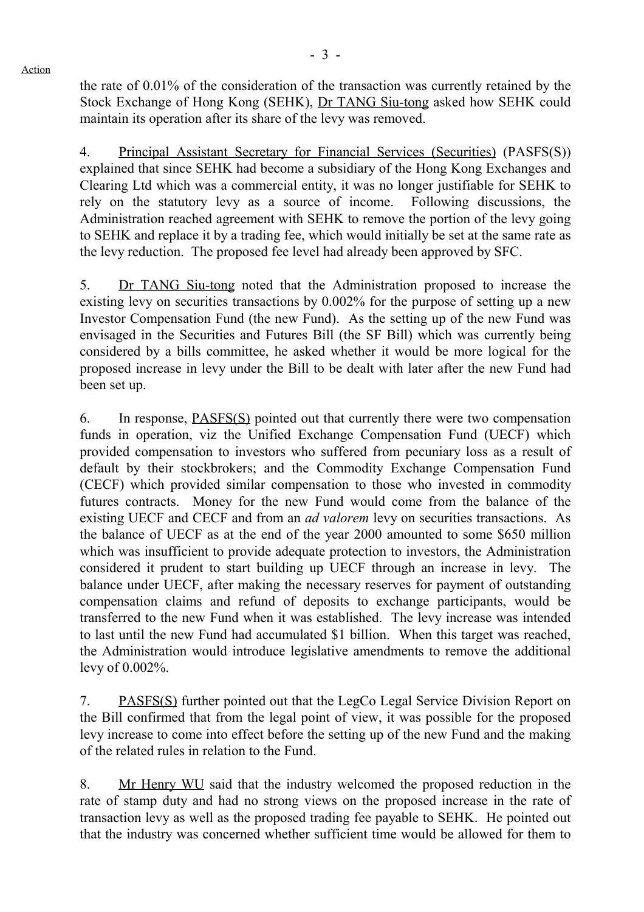Action

- 3 -

the rate of 0.01% of the consideration of the transaction was currently retained by the Stock Exchange of Hong Kong (SEHK), Dr TANG Siu-tong asked how SEHK could maintain its operation after its share of the levy was removed.

4. Principal Assistant Secretary for Financial Services (Securities) (PASFS(S)) explained that since SEHK had become a subsidiary of the Hong Kong Exchanges and Clearing Ltd which was a commercial entity, it was no longer justifiable for SEHK to rely on the statutory levy as a source of income. Following discussions, the Administration reached agreement with SEHK to remove the portion of the levy going to SEHK and replace it by a trading fee, which would initially be set at the same rate as the levy reduction. The proposed fee level had already been approved by SFC.

5. Dr TANG Siu-tong noted that the Administration proposed to increase the existing levy on securities transactions by 0.002% for the purpose of setting up a new Investor Compensation Fund (the new Fund). As the setting up of the new Fund was envisaged in the Securities and Futures Bill (the SF Bill) which was currently being considered by a bills committee, he asked whether it would be more logical for the proposed increase in levy under the Bill to be dealt with later after the new Fund had been set up.

6. In response, PASFS(S) pointed out that currently there were two compensation funds in operation, viz the Unified Exchange Compensation Fund (UECF) which provided compensation to investors who suffered from pecuniary loss as a result of default by their stockbrokers; and the Commodity Exchange Compensation Fund (CECF) which provided similar compensation to those who invested in commodity futures contracts. Money for the new Fund would come from the balance of the existing UECF and CECF and from an *ad valorem* levy on securities transactions. As the balance of UECF as at the end of the year 2000 amounted to some \$650 million which was insufficient to provide adequate protection to investors, the Administration considered it prudent to start building up UECF through an increase in levy. The balance under UECF, after making the necessary reserves for payment of outstanding compensation claims and refund of deposits to exchange participants, would be transferred to the new Fund when it was established. The levy increase was intended to last until the new Fund had accumulated \$1 billion. When this target was reached, the Administration would introduce legislative amendments to remove the additional levy of 0.002%.

7. PASFS(S) further pointed out that the LegCo Legal Service Division Report on the Bill confirmed that from the legal point of view, it was possible for the proposed levy increase to come into effect before the setting up of the new Fund and the making of the related rules in relation to the Fund.

8. Mr Henry WU said that the industry welcomed the proposed reduction in the rate of stamp duty and had no strong views on the proposed increase in the rate of transaction levy as well as the proposed trading fee payable to SEHK. He pointed out that the industry was concerned whether sufficient time would be allowed for them to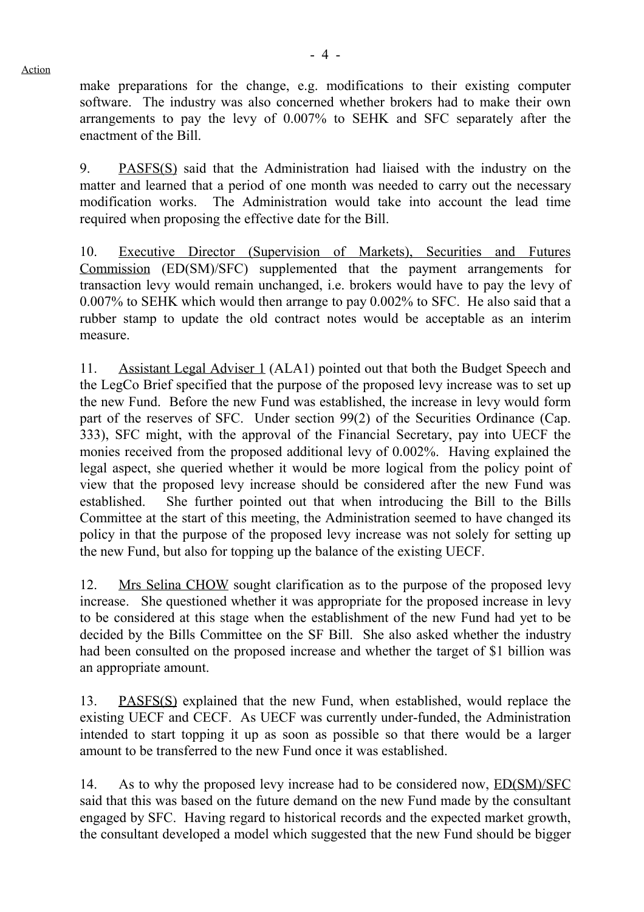Action

make preparations for the change, e.g. modifications to their existing computer software. The industry was also concerned whether brokers had to make their own arrangements to pay the levy of 0.007% to SEHK and SFC separately after the enactment of the Bill.

9. PASFS(S) said that the Administration had liaised with the industry on the matter and learned that a period of one month was needed to carry out the necessary modification works. The Administration would take into account the lead time required when proposing the effective date for the Bill.

10. Executive Director (Supervision of Markets), Securities and Futures Commission (ED(SM)/SFC) supplemented that the payment arrangements for transaction levy would remain unchanged, i.e. brokers would have to pay the levy of 0.007% to SEHK which would then arrange to pay 0.002% to SFC. He also said that a rubber stamp to update the old contract notes would be acceptable as an interim measure.

11. Assistant Legal Adviser 1 (ALA1) pointed out that both the Budget Speech and the LegCo Brief specified that the purpose of the proposed levy increase was to set up the new Fund. Before the new Fund was established, the increase in levy would form part of the reserves of SFC. Under section 99(2) of the Securities Ordinance (Cap. 333), SFC might, with the approval of the Financial Secretary, pay into UECF the monies received from the proposed additional levy of 0.002%. Having explained the legal aspect, she queried whether it would be more logical from the policy point of view that the proposed levy increase should be considered after the new Fund was established. She further pointed out that when introducing the Bill to the Bills Committee at the start of this meeting, the Administration seemed to have changed its policy in that the purpose of the proposed levy increase was not solely for setting up the new Fund, but also for topping up the balance of the existing UECF.

12. Mrs Selina CHOW sought clarification as to the purpose of the proposed levy increase. She questioned whether it was appropriate for the proposed increase in levy to be considered at this stage when the establishment of the new Fund had yet to be decided by the Bills Committee on the SF Bill. She also asked whether the industry had been consulted on the proposed increase and whether the target of \$1 billion was an appropriate amount.

13. PASFS(S) explained that the new Fund, when established, would replace the existing UECF and CECF. As UECF was currently under-funded, the Administration intended to start topping it up as soon as possible so that there would be a larger amount to be transferred to the new Fund once it was established.

14. As to why the proposed levy increase had to be considered now, ED(SM)/SFC said that this was based on the future demand on the new Fund made by the consultant engaged by SFC. Having regard to historical records and the expected market growth, the consultant developed a model which suggested that the new Fund should be bigger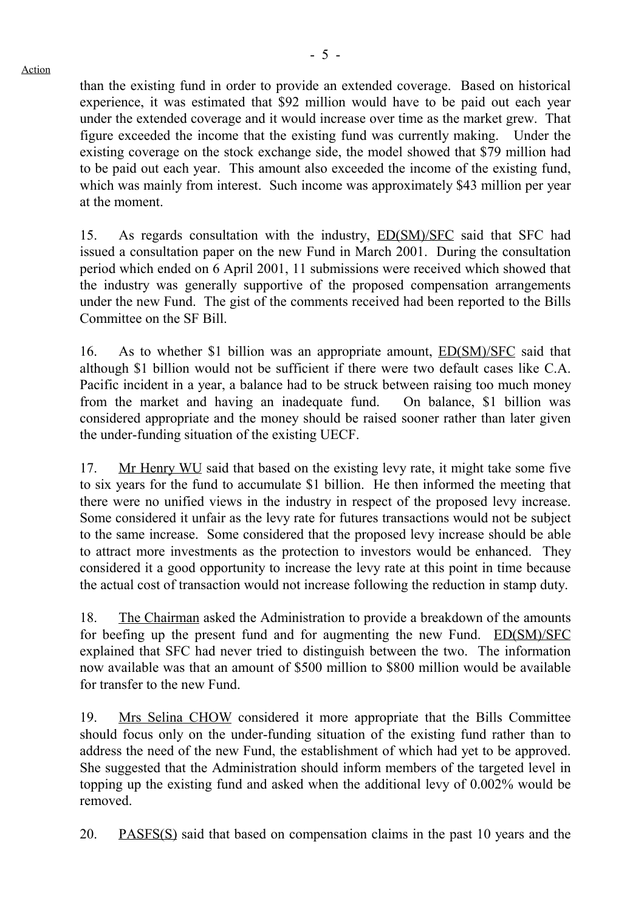than the existing fund in order to provide an extended coverage. Based on historical experience, it was estimated that \$92 million would have to be paid out each year under the extended coverage and it would increase over time as the market grew. That figure exceeded the income that the existing fund was currently making. Under the existing coverage on the stock exchange side, the model showed that \$79 million had to be paid out each year. This amount also exceeded the income of the existing fund, which was mainly from interest. Such income was approximately \$43 million per year at the moment.

15. As regards consultation with the industry, ED(SM)/SFC said that SFC had issued a consultation paper on the new Fund in March 2001. During the consultation period which ended on 6 April 2001, 11 submissions were received which showed that the industry was generally supportive of the proposed compensation arrangements under the new Fund. The gist of the comments received had been reported to the Bills Committee on the SF Bill.

16. As to whether \$1 billion was an appropriate amount, ED(SM)/SFC said that although \$1 billion would not be sufficient if there were two default cases like C.A. Pacific incident in a year, a balance had to be struck between raising too much money from the market and having an inadequate fund. On balance, \$1 billion was considered appropriate and the money should be raised sooner rather than later given the under-funding situation of the existing UECF.

17. Mr Henry WU said that based on the existing levy rate, it might take some five to six years for the fund to accumulate \$1 billion. He then informed the meeting that there were no unified views in the industry in respect of the proposed levy increase. Some considered it unfair as the levy rate for futures transactions would not be subject to the same increase. Some considered that the proposed levy increase should be able to attract more investments as the protection to investors would be enhanced. They considered it a good opportunity to increase the levy rate at this point in time because the actual cost of transaction would not increase following the reduction in stamp duty.

18. The Chairman asked the Administration to provide a breakdown of the amounts for beefing up the present fund and for augmenting the new Fund. ED(SM)/SFC explained that SFC had never tried to distinguish between the two. The information now available was that an amount of \$500 million to \$800 million would be available for transfer to the new Fund.

19. Mrs Selina CHOW considered it more appropriate that the Bills Committee should focus only on the under-funding situation of the existing fund rather than to address the need of the new Fund, the establishment of which had yet to be approved. She suggested that the Administration should inform members of the targeted level in topping up the existing fund and asked when the additional levy of 0.002% would be removed.

20. PASFS(S) said that based on compensation claims in the past 10 years and the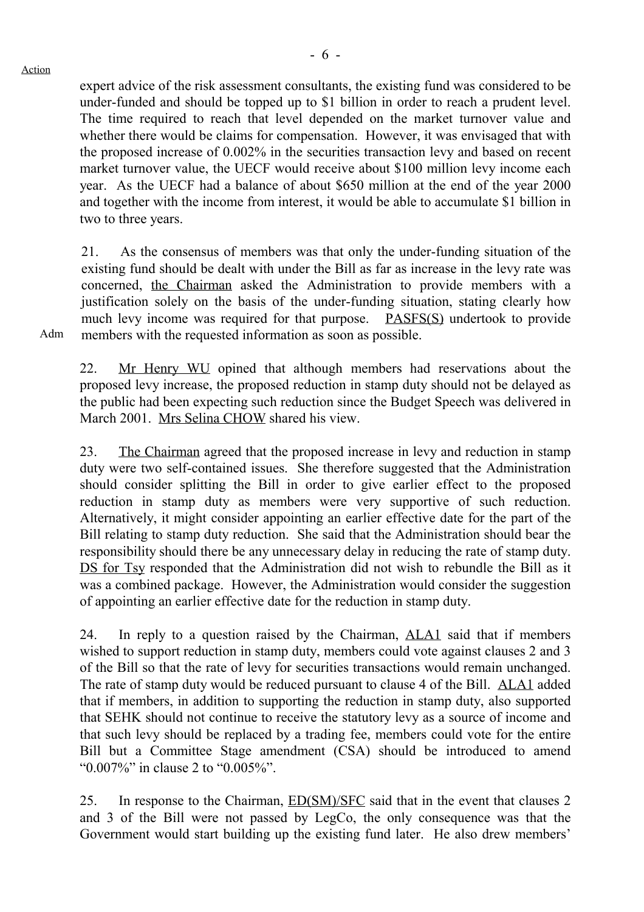Adm

- 6 -

expert advice of the risk assessment consultants, the existing fund was considered to be under-funded and should be topped up to \$1 billion in order to reach a prudent level. The time required to reach that level depended on the market turnover value and whether there would be claims for compensation. However, it was envisaged that with the proposed increase of 0.002% in the securities transaction levy and based on recent market turnover value, the UECF would receive about \$100 million levy income each year. As the UECF had a balance of about \$650 million at the end of the year 2000 and together with the income from interest, it would be able to accumulate \$1 billion in two to three years.

21. As the consensus of members was that only the under-funding situation of the existing fund should be dealt with under the Bill as far as increase in the levy rate was concerned, the Chairman asked the Administration to provide members with a justification solely on the basis of the under-funding situation, stating clearly how much levy income was required for that purpose. PASFS(S) undertook to provide members with the requested information as soon as possible.

22. Mr Henry WU opined that although members had reservations about the proposed levy increase, the proposed reduction in stamp duty should not be delayed as the public had been expecting such reduction since the Budget Speech was delivered in March 2001. Mrs Selina CHOW shared his view.

23. The Chairman agreed that the proposed increase in levy and reduction in stamp duty were two self-contained issues. She therefore suggested that the Administration should consider splitting the Bill in order to give earlier effect to the proposed reduction in stamp duty as members were very supportive of such reduction. Alternatively, it might consider appointing an earlier effective date for the part of the Bill relating to stamp duty reduction. She said that the Administration should bear the responsibility should there be any unnecessary delay in reducing the rate of stamp duty. DS for Tsy responded that the Administration did not wish to rebundle the Bill as it was a combined package. However, the Administration would consider the suggestion of appointing an earlier effective date for the reduction in stamp duty.

24. In reply to a question raised by the Chairman, ALA1 said that if members wished to support reduction in stamp duty, members could vote against clauses 2 and 3 of the Bill so that the rate of levy for securities transactions would remain unchanged. The rate of stamp duty would be reduced pursuant to clause 4 of the Bill. ALA1 added that if members, in addition to supporting the reduction in stamp duty, also supported that SEHK should not continue to receive the statutory levy as a source of income and that such levy should be replaced by a trading fee, members could vote for the entire Bill but a Committee Stage amendment (CSA) should be introduced to amend "0.007%" in clause 2 to "0.005%".

25. In response to the Chairman, ED(SM)/SFC said that in the event that clauses 2 and 3 of the Bill were not passed by LegCo, the only consequence was that the Government would start building up the existing fund later. He also drew members'